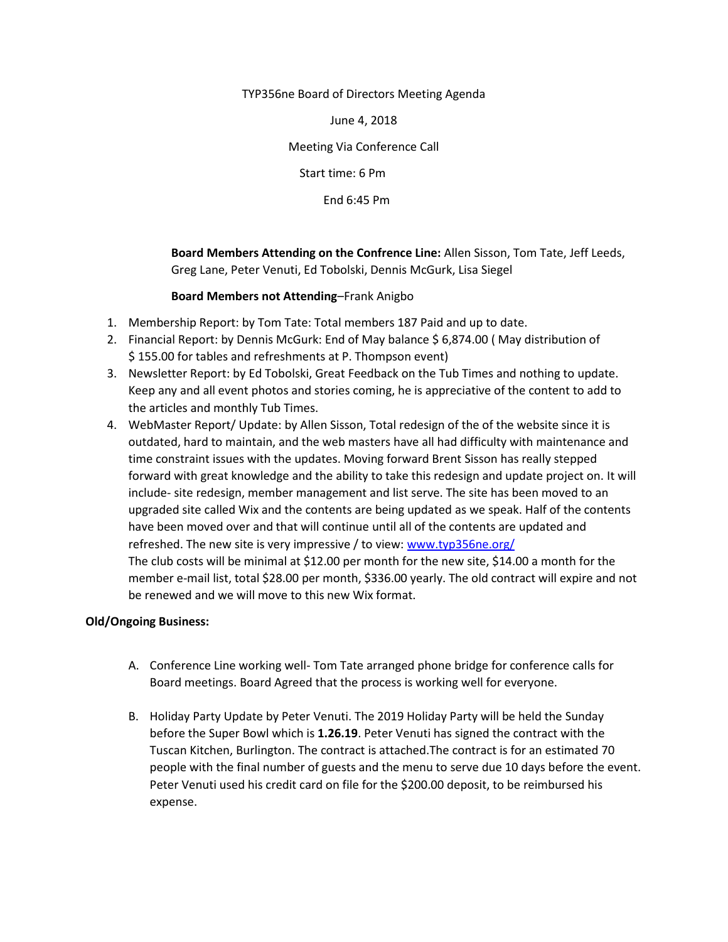TYP356ne Board of Directors Meeting Agenda

June 4, 2018

Meeting Via Conference Call

Start time: 6 Pm

End 6:45 Pm

**Board Members Attending on the Confrence Line:** Allen Sisson, Tom Tate, Jeff Leeds, Greg Lane, Peter Venuti, Ed Tobolski, Dennis McGurk, Lisa Siegel

## **Board Members not Attending**–Frank Anigbo

- 1. Membership Report: by Tom Tate: Total members 187 Paid and up to date.
- 2. Financial Report: by Dennis McGurk: End of May balance \$ 6,874.00 ( May distribution of \$ 155.00 for tables and refreshments at P. Thompson event)
- 3. Newsletter Report: by Ed Tobolski, Great Feedback on the Tub Times and nothing to update. Keep any and all event photos and stories coming, he is appreciative of the content to add to the articles and monthly Tub Times.
- 4. WebMaster Report/ Update: by Allen Sisson, Total redesign of the of the website since it is outdated, hard to maintain, and the web masters have all had difficulty with maintenance and time constraint issues with the updates. Moving forward Brent Sisson has really stepped forward with great knowledge and the ability to take this redesign and update project on. It will include- site redesign, member management and list serve. The site has been moved to an upgraded site called Wix and the contents are being updated as we speak. Half of the contents have been moved over and that will continue until all of the contents are updated and refreshed. The new site is very impressive / to view: [www.typ356ne.org/](http://www.typ356ne.org/) The club costs will be minimal at \$12.00 per month for the new site, \$14.00 a month for the member e-mail list, total \$28.00 per month, \$336.00 yearly. The old contract will expire and not be renewed and we will move to this new Wix format.

## **Old/Ongoing Business:**

- A. Conference Line working well- Tom Tate arranged phone bridge for conference calls for Board meetings. Board Agreed that the process is working well for everyone.
- B. Holiday Party Update by Peter Venuti. The 2019 Holiday Party will be held the Sunday before the Super Bowl which is **1.26.19**. Peter Venuti has signed the contract with the Tuscan Kitchen, Burlington. The contract is attached.The contract is for an estimated 70 people with the final number of guests and the menu to serve due 10 days before the event. Peter Venuti used his credit card on file for the \$200.00 deposit, to be reimbursed his expense.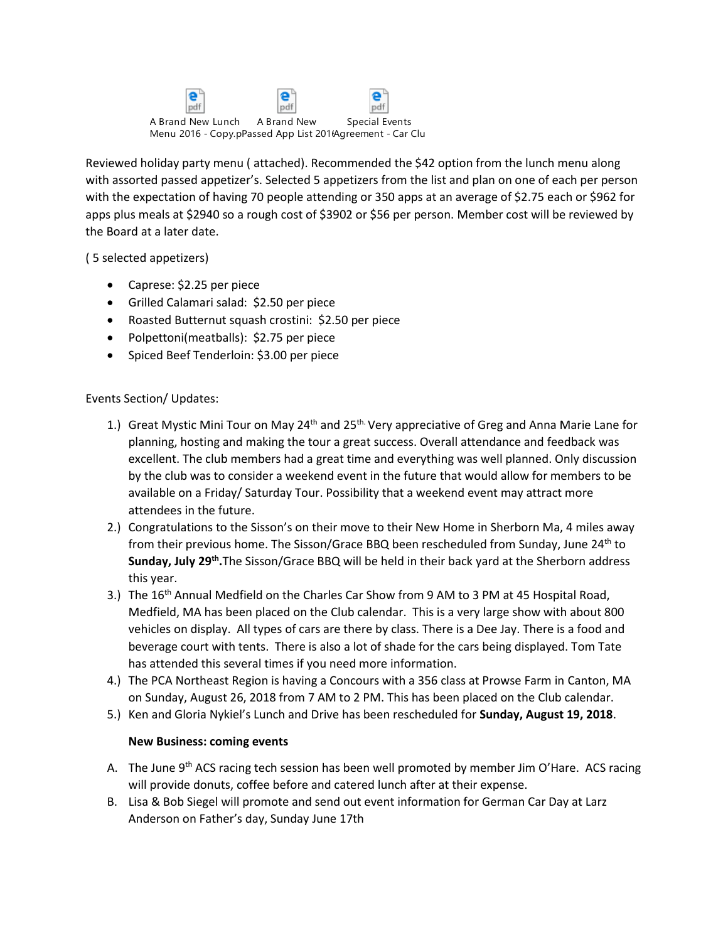

Reviewed holiday party menu ( attached). Recommended the \$42 option from the lunch menu along with assorted passed appetizer's. Selected 5 appetizers from the list and plan on one of each per person with the expectation of having 70 people attending or 350 apps at an average of \$2.75 each or \$962 for apps plus meals at \$2940 so a rough cost of \$3902 or \$56 per person. Member cost will be reviewed by the Board at a later date.

( 5 selected appetizers)

- Caprese: \$2.25 per piece
- Grilled Calamari salad: \$2.50 per piece
- Roasted Butternut squash crostini: \$2.50 per piece
- Polpettoni(meatballs): \$2.75 per piece
- Spiced Beef Tenderloin: \$3.00 per piece

## Events Section/ Updates:

- 1.) Great Mystic Mini Tour on May 24<sup>th</sup> and 25<sup>th.</sup> Very appreciative of Greg and Anna Marie Lane for planning, hosting and making the tour a great success. Overall attendance and feedback was excellent. The club members had a great time and everything was well planned. Only discussion by the club was to consider a weekend event in the future that would allow for members to be available on a Friday/ Saturday Tour. Possibility that a weekend event may attract more attendees in the future.
- 2.) Congratulations to the Sisson's on their move to their New Home in Sherborn Ma, 4 miles away from their previous home. The Sisson/Grace BBQ been rescheduled from Sunday, June 24<sup>th</sup> to **Sunday, July 29th .**The Sisson/Grace BBQ will be held in their back yard at the Sherborn address this year.
- 3.) The 16<sup>th</sup> Annual Medfield on the Charles Car Show from 9 AM to 3 PM at 45 Hospital Road, Medfield, MA has been placed on the Club calendar. This is a very large show with about 800 vehicles on display. All types of cars are there by class. There is a Dee Jay. There is a food and beverage court with tents. There is also a lot of shade for the cars being displayed. Tom Tate has attended this several times if you need more information.
- 4.) The PCA Northeast Region is having a Concours with a 356 class at Prowse Farm in Canton, MA on Sunday, August 26, 2018 from 7 AM to 2 PM. This has been placed on the Club calendar.
- 5.) Ken and Gloria Nykiel's Lunch and Drive has been rescheduled for **Sunday, August 19, 2018**.

## **New Business: coming events**

- A. The June  $9<sup>th</sup>$  ACS racing tech session has been well promoted by member Jim O'Hare. ACS racing will provide donuts, coffee before and catered lunch after at their expense.
- B. Lisa & Bob Siegel will promote and send out event information for German Car Day at Larz Anderson on Father's day, Sunday June 17th